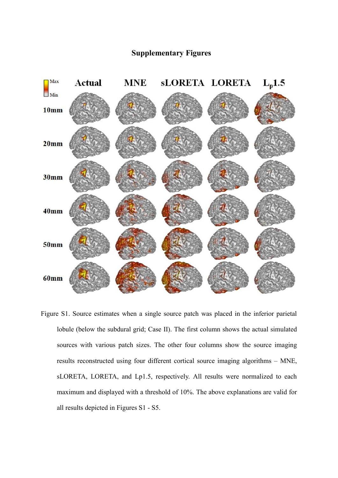## **Supplementary Figures**



Figure S1. Source estimates when a single source patch was placed in the inferior parietal lobule (below the subdural grid; Case II). The first column shows the actual simulated sources with various patch sizes. The other four columns show the source imaging results reconstructed using four different cortical source imaging algorithms – MNE, sLORETA, LORETA, and Lp1.5, respectively. All results were normalized to each maximum and displayed with a threshold of 10%. The above explanations are valid for all results depicted in Figures S1 - S5.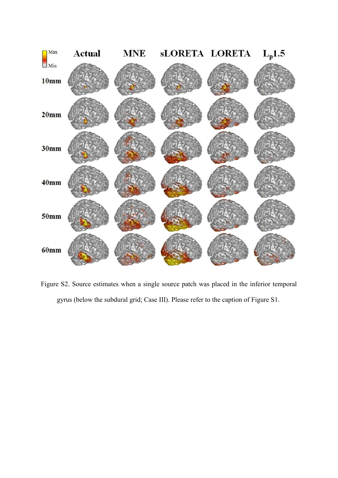

Figure S2. Source estimates when a single source patch was placed in the inferior temporal gyrus (below the subdural grid; Case III). Please refer to the caption of Figure S1.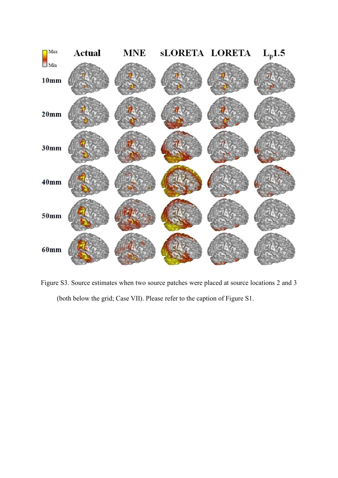

Figure S3. Source estimates when two source patches were placed at source locations 2 and 3 (both below the grid; Case VII). Please refer to the caption of Figure S1.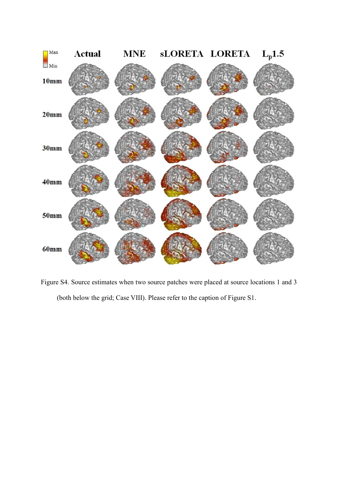

Figure S4. Source estimates when two source patches were placed at source locations 1 and 3 (both below the grid; Case VIII). Please refer to the caption of Figure S1.